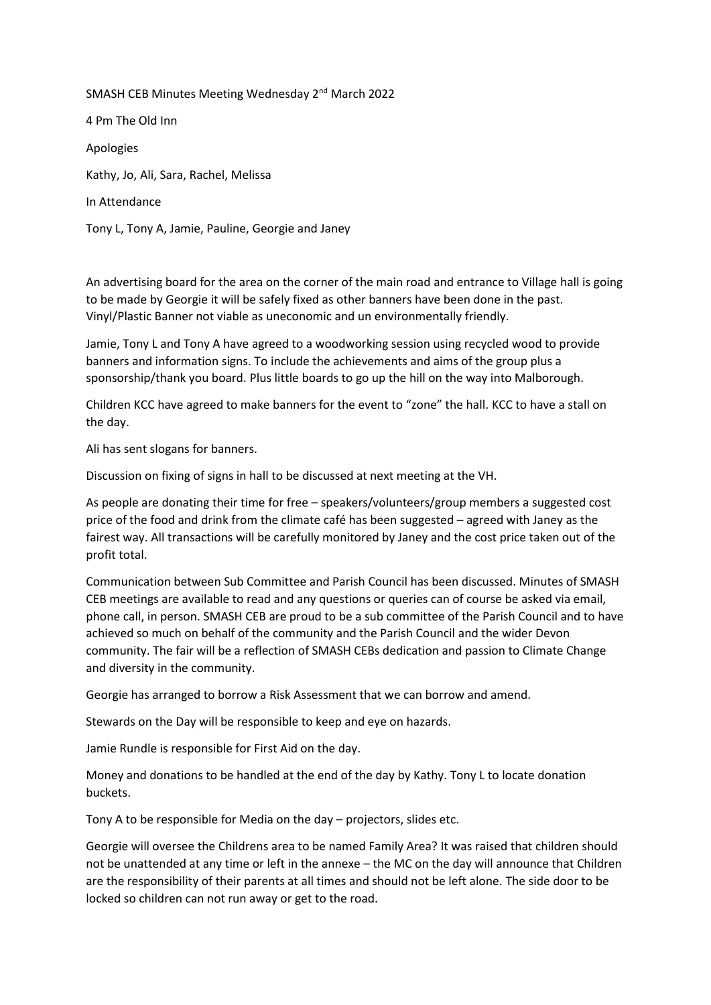## SMASH CEB Minutes Meeting Wednesday 2nd March 2022 4 Pm The Old Inn

Apologies

Kathy, Jo, Ali, Sara, Rachel, Melissa

In Attendance

Tony L, Tony A, Jamie, Pauline, Georgie and Janey

An advertising board for the area on the corner of the main road and entrance to Village hall is going to be made by Georgie it will be safely fixed as other banners have been done in the past. Vinyl/Plastic Banner not viable as uneconomic and un environmentally friendly.

Jamie, Tony L and Tony A have agreed to a woodworking session using recycled wood to provide banners and information signs. To include the achievements and aims of the group plus a sponsorship/thank you board. Plus little boards to go up the hill on the way into Malborough.

Children KCC have agreed to make banners for the event to "zone" the hall. KCC to have a stall on the day.

Ali has sent slogans for banners.

Discussion on fixing of signs in hall to be discussed at next meeting at the VH.

As people are donating their time for free – speakers/volunteers/group members a suggested cost price of the food and drink from the climate café has been suggested – agreed with Janey as the fairest way. All transactions will be carefully monitored by Janey and the cost price taken out of the profit total.

Communication between Sub Committee and Parish Council has been discussed. Minutes of SMASH CEB meetings are available to read and any questions or queries can of course be asked via email, phone call, in person. SMASH CEB are proud to be a sub committee of the Parish Council and to have achieved so much on behalf of the community and the Parish Council and the wider Devon community. The fair will be a reflection of SMASH CEBs dedication and passion to Climate Change and diversity in the community.

Georgie has arranged to borrow a Risk Assessment that we can borrow and amend.

Stewards on the Day will be responsible to keep and eye on hazards.

Jamie Rundle is responsible for First Aid on the day.

Money and donations to be handled at the end of the day by Kathy. Tony L to locate donation buckets.

Tony A to be responsible for Media on the day – projectors, slides etc.

Georgie will oversee the Childrens area to be named Family Area? It was raised that children should not be unattended at any time or left in the annexe – the MC on the day will announce that Children are the responsibility of their parents at all times and should not be left alone. The side door to be locked so children can not run away or get to the road.